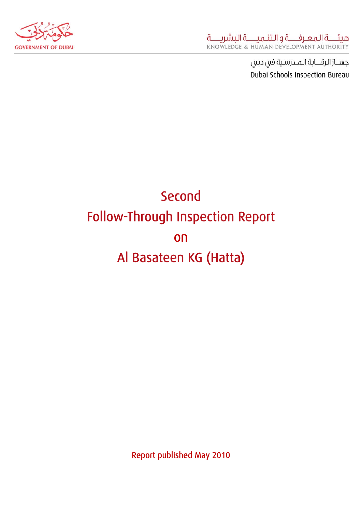

جهــاز الرقـــابة المـدرسية في دبي Dubai Schools Inspection Bureau

# Second Follow-Through Inspection Report on Al Basateen KG (Hatta)

Report published May 2010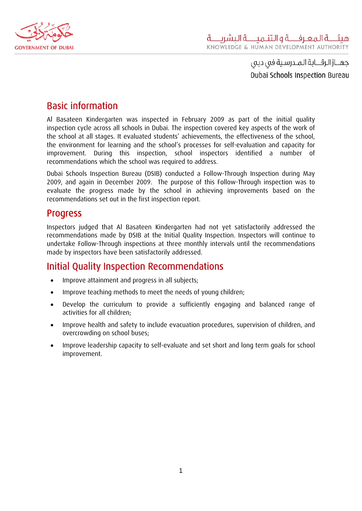

جهــاز الرقـــابة الـمــدرسـية فى دبى ِ Dubai Schools Inspection Bureau

## Basic information

Al Basateen Kindergarten was inspected in February 2009 as part of the initial quality inspection cycle across all schools in Dubai. The inspection covered key aspects of the work of the school at all stages. It evaluated students' achievements, the effectiveness of the school, the environment for learning and the school's processes for self-evaluation and capacity for improvement. During this inspection, school inspectors identified a number of recommendations which the school was required to address.

Dubai Schools Inspection Bureau (DSIB) conducted a Follow-Through Inspection during May 2009, and again in December 2009. The purpose of this Follow-Through inspection was to evaluate the progress made by the school in achieving improvements based on the recommendations set out in the first inspection report.

## Progress

Inspectors judged that Al Basateen Kindergarten had not yet satisfactorily addressed the recommendations made by DSIB at the Initial Quality Inspection. Inspectors will continue to undertake Follow-Through inspections at three monthly intervals until the recommendations made by inspectors have been satisfactorily addressed.

# Initial Quality Inspection Recommendations

- Improve attainment and progress in all subjects;
- Improve teaching methods to meet the needs of young children;
- Develop the curriculum to provide a sufficiently engaging and balanced range of activities for all children;
- Improve health and safety to include evacuation procedures, supervision of children, and overcrowding on school buses;
- Improve leadership capacity to self-evaluate and set short and long term goals for school improvement.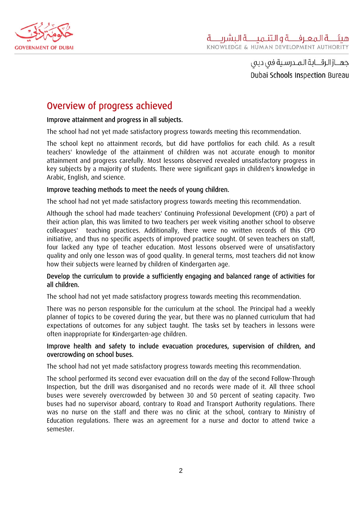

جهــاز الرقـــابة الـمــدرسـية فى دبى ِ Dubai Schools Inspection Bureau

## Overview of progress achieved

#### Improve attainment and progress in all subjects.

The school had not yet made satisfactory progress towards meeting this recommendation.

The school kept no attainment records, but did have portfolios for each child. As a result teachers' knowledge of the attainment of children was not accurate enough to monitor attainment and progress carefully. Most lessons observed revealed unsatisfactory progress in key subjects by a majority of students. There were significant gaps in children's knowledge in Arabic, English, and science.

#### Improve teaching methods to meet the needs of young children.

The school had not yet made satisfactory progress towards meeting this recommendation.

Although the school had made teachers' Continuing Professional Development (CPD) a part of their action plan, this was limited to two teachers per week visiting another school to observe colleagues' teaching practices. Additionally, there were no written records of this CPD initiative, and thus no specific aspects of improved practice sought. Of seven teachers on staff, four lacked any type of teacher education. Most lessons observed were of unsatisfactory quality and only one lesson was of good quality. In general terms, most teachers did not know how their subjects were learned by children of Kindergarten age.

#### Develop the curriculum to provide a sufficiently engaging and balanced range of activities for all children.

The school had not yet made satisfactory progress towards meeting this recommendation.

There was no person responsible for the curriculum at the school. The Principal had a weekly planner of topics to be covered during the year, but there was no planned curriculum that had expectations of outcomes for any subject taught. The tasks set by teachers in lessons were often inappropriate for Kindergarten-age children.

#### Improve health and safety to include evacuation procedures, supervision of children, and overcrowding on school buses.

The school had not yet made satisfactory progress towards meeting this recommendation.

The school performed its second ever evacuation drill on the day of the second Follow-Through Inspection, but the drill was disorganised and no records were made of it. All three school buses were severely overcrowded by between 30 and 50 percent of seating capacity. Two buses had no supervisor aboard, contrary to Road and Transport Authority regulations. There was no nurse on the staff and there was no clinic at the school, contrary to Ministry of Education regulations. There was an agreement for a nurse and doctor to attend twice a semester.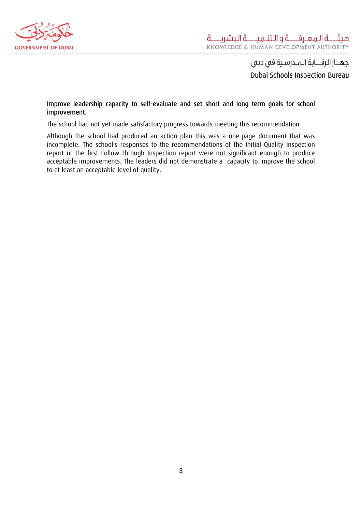

جهــاز الرقـــابة الـمــدرسـية فى دبى Dubai Schools Inspection Bureau

#### Improve leadership capacity to self-evaluate and set short and long term goals for school improvement.

The school had not yet made satisfactory progress towards meeting this recommendation.

Although the school had produced an action plan this was a one-page document that was incomplete. The school's responses to the recommendations of the Initial Quality Inspection report or the first Follow-Through Inspection report were not significant enough to produce acceptable improvements. The leaders did not demonstrate a capacity to improve the school to at least an acceptable level of quality.